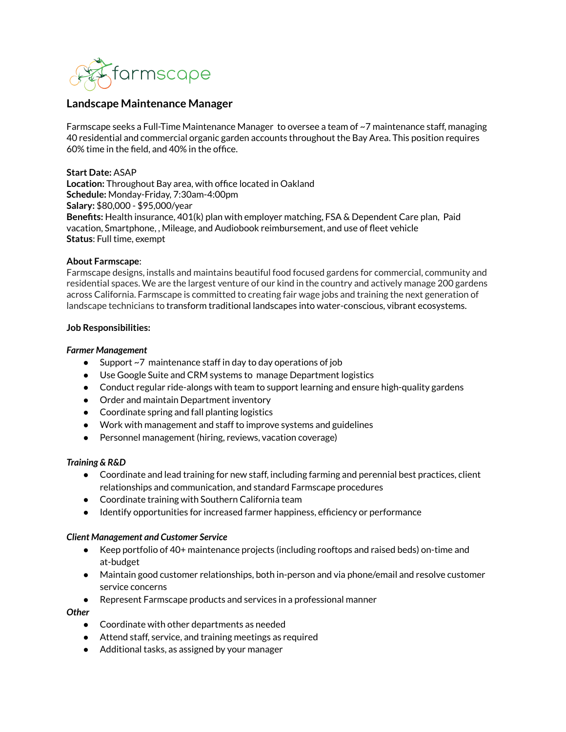

# **Landscape Maintenance Manager**

Farmscape seeks a Full-Time Maintenance Manager to oversee a team of ~7 maintenance staff, managing 40 residential and commercial organic garden accounts throughout the Bay Area. This position requires 60% time in the field, and 40% in the office.

### **Start Date:** ASAP

**Location:** Throughout Bay area, with office located in Oakland **Schedule:** Monday-Friday, 7:30am-4:00pm **Salary:** \$80,000 - \$95,000/year **Benefits:** Health insurance, 401(k) plan with employer matching, FSA & Dependent Care plan, Paid vacation, Smartphone, , Mileage, and Audiobook reimbursement, and use of fleet vehicle **Status**: Full time, exempt

### **About Farmscape**:

Farmscape designs, installs and maintains beautiful food focused gardens for commercial, community and residential spaces. We are the largest venture of our kind in the country and actively manage 200 gardens across California. Farmscape is committed to creating fair wage jobs and training the next generation of landscape technicians to transform traditional landscapes into water-conscious, vibrant ecosystems.

### **Job Responsibilities:**

### *Farmer Management*

- Support ~7 maintenance staff in day to day operations of job
- Use Google Suite and CRM systems to manage Department logistics
- Conduct regular ride-alongs with team to support learning and ensure high-quality gardens
- Order and maintain Department inventory
- Coordinate spring and fall planting logistics
- Work with management and staff to improve systems and guidelines
- Personnel management (hiring, reviews, vacation coverage)

## *Training & R&D*

- Coordinate and lead training for new staff, including farming and perennial best practices, client relationships and communication, and standard Farmscape procedures
- Coordinate training with Southern California team
- Identify opportunities for increased farmer happiness, efficiency or performance

### *Client Management and Customer Service*

- Keep portfolio of 40+ maintenance projects (including rooftops and raised beds) on-time and at-budget
- Maintain good customer relationships, both in-person and via phone/email and resolve customer service concerns
- Represent Farmscape products and services in a professional manner

### *Other*

- Coordinate with other departments as needed
- Attend staff, service, and training meetings as required
- Additional tasks, as assigned by your manager